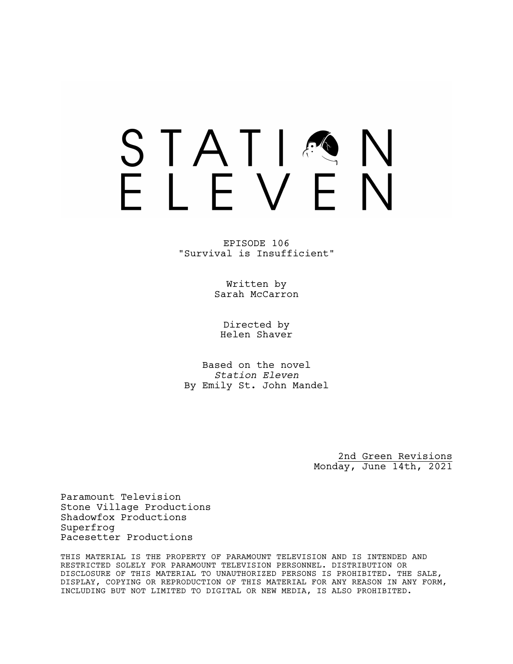# STATIA FIFVFN

EPISODE 106 "Survival is Insufficient"

> Written by Sarah McCarron

Directed by Helen Shaver

Based on the novel *Station Eleven* By Emily St. John Mandel

> 2nd Green Revisions Monday, June 14th, 2021

Paramount Television Stone Village Productions Shadowfox Productions Superfrog Pacesetter Productions

THIS MATERIAL IS THE PROPERTY OF PARAMOUNT TELEVISION AND IS INTENDED AND RESTRICTED SOLELY FOR PARAMOUNT TELEVISION PERSONNEL. DISTRIBUTION OR DISCLOSURE OF THIS MATERIAL TO UNAUTHORIZED PERSONS IS PROHIBITED. THE SALE, DISPLAY, COPYING OR REPRODUCTION OF THIS MATERIAL FOR ANY REASON IN ANY FORM, INCLUDING BUT NOT LIMITED TO DIGITAL OR NEW MEDIA, IS ALSO PROHIBITED.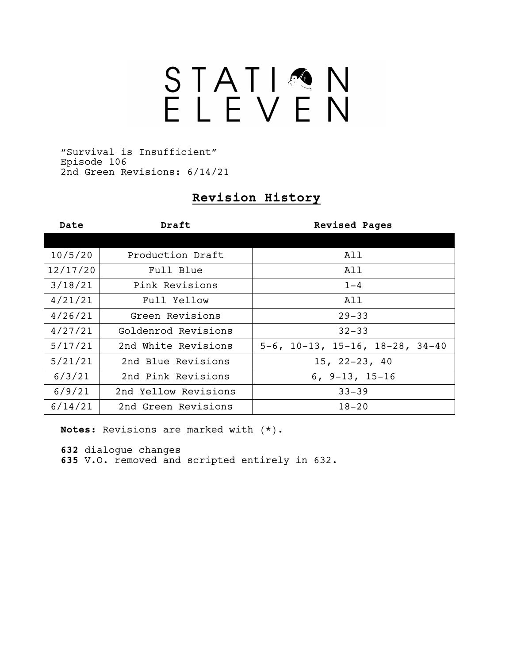# STATIQN

"Survival is Insufficient" Episode 106 2nd Green Revisions: 6/14/21

# **Revision History**

| Date     | Draft                | <b>Revised Pages</b>                          |
|----------|----------------------|-----------------------------------------------|
|          |                      |                                               |
| 10/5/20  | Production Draft     | All                                           |
| 12/17/20 | Full Blue            | All                                           |
| 3/18/21  | Pink Revisions       | $1 - 4$                                       |
| 4/21/21  | Full Yellow          | All                                           |
| 4/26/21  | Green Revisions      | $29 - 33$                                     |
| 4/27/21  | Goldenrod Revisions  | $32 - 33$                                     |
| 5/17/21  | 2nd White Revisions  | $5-6$ , $10-13$ , $15-16$ , $18-28$ , $34-40$ |
| 5/21/21  | 2nd Blue Revisions   | $15, 22 - 23, 40$                             |
| 6/3/21   | 2nd Pink Revisions   | $6, 9-13, 15-16$                              |
| 6/9/21   | 2nd Yellow Revisions | $33 - 39$                                     |
| 6/14/21  | 2nd Green Revisions  | $18 - 20$                                     |

**Notes:** Revisions are marked with (\*).

**632** dialogue changes

**635** V.O. removed and scripted entirely in 632.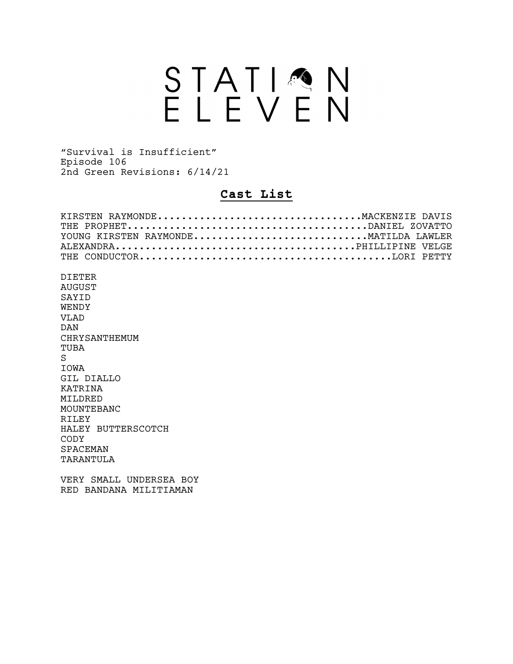# STATION<br>ELEVEN

"Survival is Insufficient" Episode 106 2nd Green Revisions: 6/14/21

## **Cast List**

| KIRSTEN RAYMONDEMACKENZIE DAVIS      |  |
|--------------------------------------|--|
|                                      |  |
| YOUNG KIRSTEN RAYMONDEMATILDA LAWLER |  |
|                                      |  |
|                                      |  |
|                                      |  |
| D T F.T F.R                          |  |
| AUGUST                               |  |
| SAYTD                                |  |
| WENDY                                |  |
| VT.AD                                |  |
| DAN                                  |  |
| CHRYSANTHEMUM                        |  |
|                                      |  |

TUBA S IOWA GIL DIALLO KATRINA MILDRED MOUNTEBANC RILEY HALEY BUTTERSCOTCH CODY SPACEMAN TARANTULA

VERY SMALL UNDERSEA BOY RED BANDANA MILITIAMAN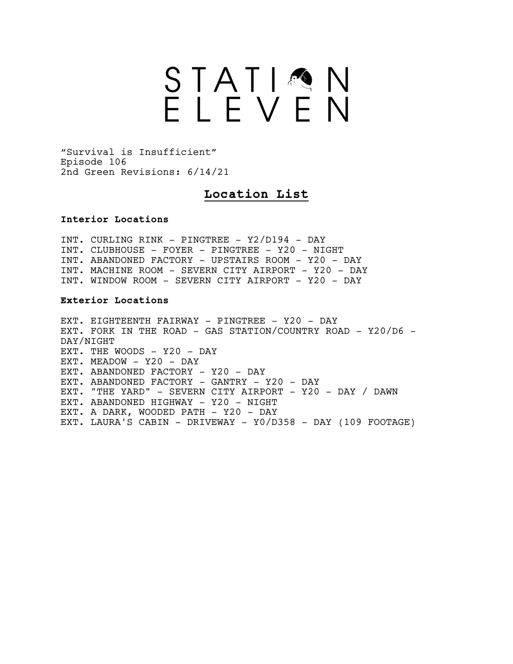# STATIMN

"Survival is Insufficient" Episode 106 2nd Green Revisions: 6/14/21

## **Location List**

### **Interior Locations**

INT. CURLING RINK - PINGTREE - Y2/D194 - DAY INT. CLUBHOUSE - FOYER - PINGTREE - Y20 - NIGHT INT. ABANDONED FACTORY - UPSTAIRS ROOM - Y20 - DAY INT. MACHINE ROOM - SEVERN CITY AIRPORT - Y20 - DAY INT. WINDOW ROOM - SEVERN CITY AIRPORT - Y20 - DAY

### **Exterior Locations**

EXT. EIGHTEENTH FAIRWAY - PINGTREE - Y20 - DAY EXT. FORK IN THE ROAD - GAS STATION/COUNTRY ROAD - Y20/D6 -DAY/NIGHT EXT. THE WOODS - Y20 - DAY EXT. MEADOW - Y20 - DAY EXT. ABANDONED FACTORY - Y20 - DAY EXT. ABANDONED FACTORY - GANTRY - Y20 - DAY EXT. "THE YARD" - SEVERN CITY AIRPORT - Y20 - DAY / DAWN EXT. ABANDONED HIGHWAY - Y20 - NIGHT EXT. A DARK, WOODED PATH - Y20 - DAY EXT. LAURA'S CABIN - DRIVEWAY - Y0/D358 - DAY (109 FOOTAGE)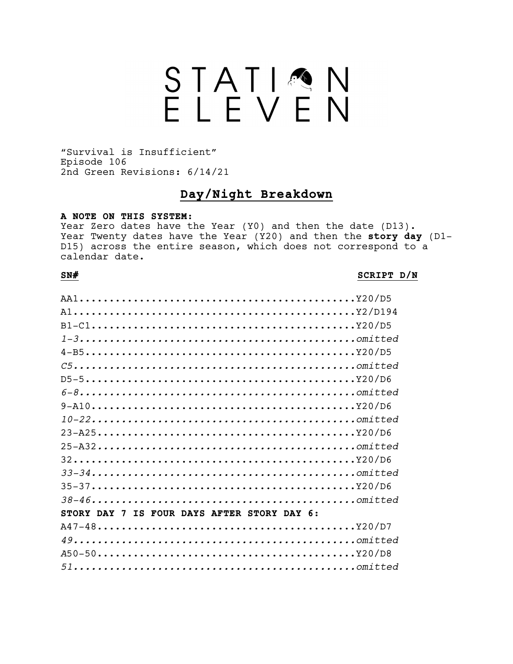# STATIQN

"Survival is Insufficient" Episode 106 2nd Green Revisions: 6/14/21

## **Day/Night Breakdown**

### **A NOTE ON THIS SYSTEM:**

Year Zero dates have the Year (Y0) and then the date (D13). Year Twenty dates have the Year (Y20) and then the **story day** (D1- D15) across the entire season, which does not correspond to a calendar date.

### **SN# SCRIPT D/N**

| $1-3$                                       |
|---------------------------------------------|
|                                             |
| $C5$                                        |
|                                             |
| $6-8$                                       |
|                                             |
|                                             |
|                                             |
|                                             |
|                                             |
|                                             |
|                                             |
|                                             |
| STORY DAY 7 IS FOUR DAYS AFTER STORY DAY 6: |
|                                             |
|                                             |
|                                             |
|                                             |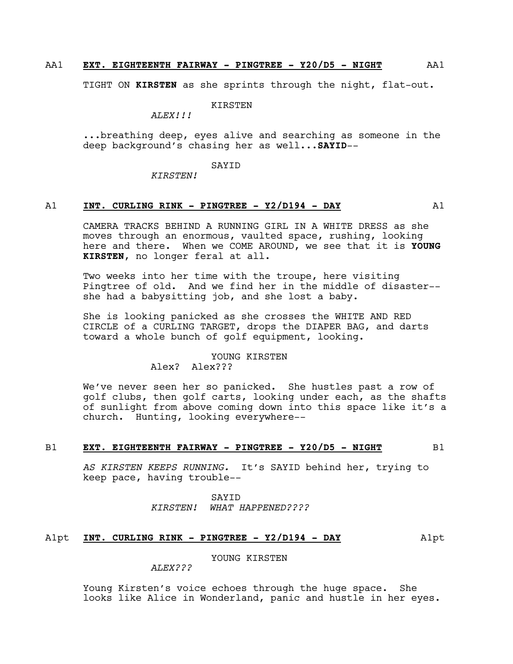### AA1 **EXT. EIGHTEENTH FAIRWAY - PINGTREE - Y20/D5 - NIGHT** AA1

TIGHT ON **KIRSTEN** as she sprints through the night, flat-out.

KIRSTEN

*ALEX!!!*

...breathing deep, eyes alive and searching as someone in the deep background's chasing her as well...**SAYID**--

SAYID

*KIRSTEN!*

### A1 **INT. CURLING RINK - PINGTREE - Y2/D194 - DAY** A1

CAMERA TRACKS BEHIND A RUNNING GIRL IN A WHITE DRESS as she moves through an enormous, vaulted space, rushing, looking here and there. When we COME AROUND, we see that it is **YOUNG KIRSTEN**, no longer feral at all.

Two weeks into her time with the troupe, here visiting Pingtree of old. And we find her in the middle of disaster- she had a babysitting job, and she lost a baby.

She is looking panicked as she crosses the WHITE AND RED CIRCLE of a CURLING TARGET, drops the DIAPER BAG, and darts toward a whole bunch of golf equipment, looking.

### YOUNG KIRSTEN Alex? Alex???

We've never seen her so panicked. She hustles past a row of golf clubs, then golf carts, looking under each, as the shafts of sunlight from above coming down into this space like it's a church. Hunting, looking everywhere--

### B1 **EXT. EIGHTEENTH FAIRWAY - PINGTREE - Y20/D5 - NIGHT** B1

*AS KIRSTEN KEEPS RUNNING.* It's SAYID behind her, trying to keep pace, having trouble--

> SAYID *KIRSTEN! WHAT HAPPENED????*

### A1pt **INT. CURLING RINK - PINGTREE - Y2/D194 - DAY** A1pt

YOUNG KIRSTEN

*ALEX???*

Young Kirsten's voice echoes through the huge space. She looks like Alice in Wonderland, panic and hustle in her eyes.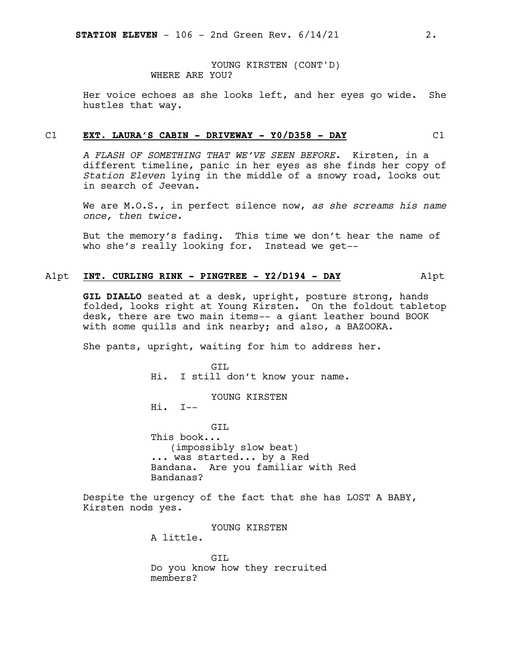YOUNG KIRSTEN (CONT'D) WHERE ARE YOU?

Her voice echoes as she looks left, and her eyes go wide. She hustles that way.

### C1 **EXT. LAURA'S CABIN - DRIVEWAY - Y0/D358 - DAY** C1

*A FLASH OF SOMETHING THAT WE'VE SEEN BEFORE.* Kirsten, in a different timeline, panic in her eyes as she finds her copy of *Station Eleven* lying in the middle of a snowy road, looks out in search of Jeevan.

We are M.O.S., in perfect silence now, *as she screams his name once, then twice.*

But the memory's fading. This time we don't hear the name of who she's really looking for. Instead we get--

### A1pt **INT. CURLING RINK - PINGTREE - Y2/D194 - DAY** A1pt

**GIL DIALLO** seated at a desk, upright, posture strong, hands folded, looks right at Young Kirsten. On the foldout tabletop desk, there are two main items-- a giant leather bound BOOK with some quills and ink nearby; and also, a BAZOOKA.

She pants, upright, waiting for him to address her.

GTT. Hi. I still don't know your name.

YOUNG KIRSTEN

Hi. I--

GTT. This book... (impossibly slow beat) ... was started... by a Red Bandana. Are you familiar with Red Bandanas?

Despite the urgency of the fact that she has LOST A BABY, Kirsten nods yes.

YOUNG KIRSTEN

A little.

GIL Do you know how they recruited members?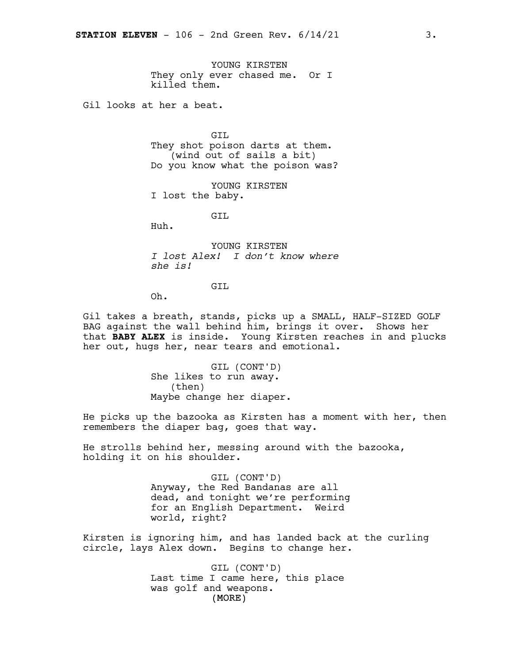YOUNG KIRSTEN They only ever chased me. Or I killed them.

Gil looks at her a beat.

GIL They shot poison darts at them. (wind out of sails a bit) Do you know what the poison was?

YOUNG KIRSTEN I lost the baby.

GTT.

Huh.

YOUNG KIRSTEN *I lost Alex! I don't know where she is!*

GTT.

Oh.

Gil takes a breath, stands, picks up a SMALL, HALF-SIZED GOLF BAG against the wall behind him, brings it over. Shows her that **BABY ALEX** is inside. Young Kirsten reaches in and plucks her out, hugs her, near tears and emotional.

> GIL (CONT'D) She likes to run away. (then) Maybe change her diaper.

He picks up the bazooka as Kirsten has a moment with her, then remembers the diaper bag, goes that way.

He strolls behind her, messing around with the bazooka, holding it on his shoulder.

> GIL (CONT'D) Anyway, the Red Bandanas are all dead, and tonight we're performing for an English Department. Weird world, right?

Kirsten is ignoring him, and has landed back at the curling circle, lays Alex down. Begins to change her.

> (MORE) GIL (CONT'D) Last time I came here, this place was golf and weapons.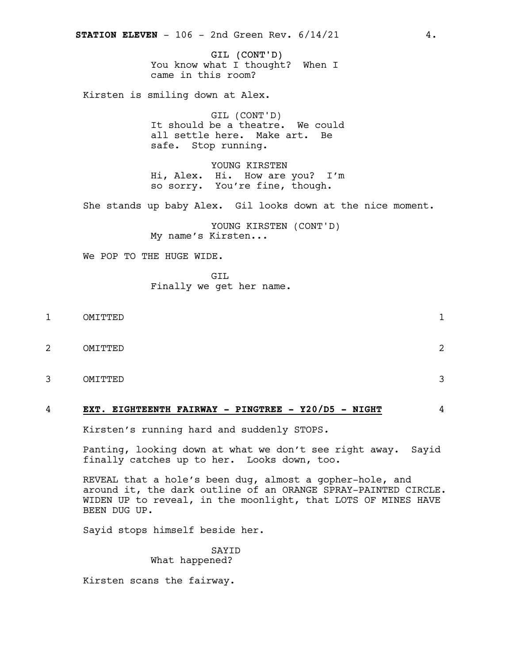GIL (CONT'D) You know what I thought? When I came in this room?

Kirsten is smiling down at Alex.

GIL (CONT'D) It should be a theatre. We could all settle here. Make art. Be safe. Stop running.

YOUNG KIRSTEN Hi, Alex. Hi. How are you? I'm so sorry. You're fine, though.

She stands up baby Alex. Gil looks down at the nice moment.

YOUNG KIRSTEN (CONT'D) My name's Kirsten...

We POP TO THE HUGE WIDE.

GIL Finally we get her name.

- 1 OMITTED 1
- 2 OMITTED 2
- 3 OMITTED 3

### 4 **EXT. EIGHTEENTH FAIRWAY - PINGTREE - Y20/D5 - NIGHT** 4

Kirsten's running hard and suddenly STOPS*.*

Panting, looking down at what we don't see right away. Sayid finally catches up to her. Looks down, too.

REVEAL that a hole's been dug, almost a gopher-hole, and around it, the dark outline of an ORANGE SPRAY-PAINTED CIRCLE. WIDEN UP to reveal, in the moonlight, that LOTS OF MINES HAVE BEEN DUG UP.

Sayid stops himself beside her.

SAYID What happened?

Kirsten scans the fairway.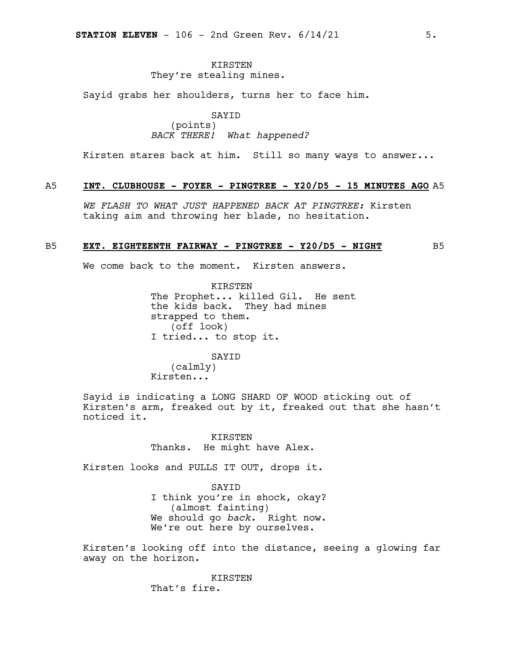### KIRSTEN They're stealing mines.

Sayid grabs her shoulders, turns her to face him.

SAYID (points) *BACK THERE! What happened?*

Kirsten stares back at him. Still so many ways to answer...

### A5 **INT. CLUBHOUSE - FOYER - PINGTREE - Y20/D5 - 15 MINUTES AGO** A5

*WE FLASH TO WHAT JUST HAPPENED BACK AT PINGTREE:* Kirsten taking aim and throwing her blade, no hesitation.

### B5 **EXT. EIGHTEENTH FAIRWAY - PINGTREE - Y20/D5 - NIGHT** B5

We come back to the moment. Kirsten answers.

KIRSTEN The Prophet... killed Gil. He sent the kids back. They had mines strapped to them. (off look) I tried... to stop it.

### SAYID

(calmly) Kirsten...

Sayid is indicating a LONG SHARD OF WOOD sticking out of Kirsten's arm, freaked out by it, freaked out that she hasn't noticed it.

> KIRSTEN Thanks. He might have Alex.

Kirsten looks and PULLS IT OUT, drops it.

SAYID I think you're in shock, okay? (almost fainting) We should go *back.* Right now. We're out here by ourselves.

Kirsten's looking off into the distance, seeing a glowing far away on the horizon.

> KIRSTEN That's fire.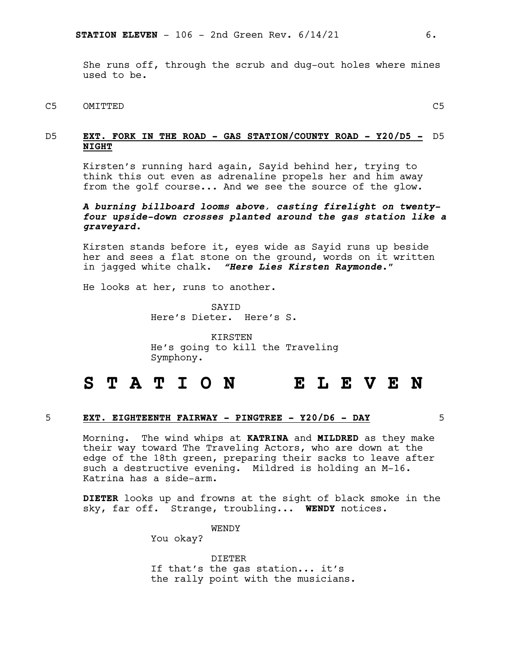She runs off, through the scrub and dug-out holes where mines used to be.

C5 OMITTED C5

D5 **EXT. FORK IN THE ROAD - GAS STATION/COUNTY ROAD - Y20/D5 -** D5 **NIGHT**

Kirsten's running hard again, Sayid behind her, trying to think this out even as adrenaline propels her and him away from the golf course... And we see the source of the glow.

### *A burning billboard looms above, casting firelight on twentyfour upside-down crosses planted around the gas station like a graveyard.*

Kirsten stands before it, eyes wide as Sayid runs up beside her and sees a flat stone on the ground, words on it written in jagged white chalk. *"Here Lies Kirsten Raymonde.*"

He looks at her, runs to another.

SAYID Here's Dieter. Here's S.

KIRSTEN He's going to kill the Traveling Symphony.

# **S T A T I O N E L E V E N**

### 5 **EXT. EIGHTEENTH FAIRWAY - PINGTREE - Y20/D6 - DAY** 5

Morning. The wind whips at **KATRINA** and **MILDRED** as they make their way toward The Traveling Actors, who are down at the edge of the 18th green, preparing their sacks to leave after such <sup>a</sup> destructive evening. Mildred is holding an M-16. Katrina has <sup>a</sup> side-arm.

**DIETER** looks up and frowns at the sight of black smoke in the sky, far off. Strange, troubling... **WENDY** notices.

WENDY

You okay?

DIETER If that's the gas station... it's the rally point with the musicians.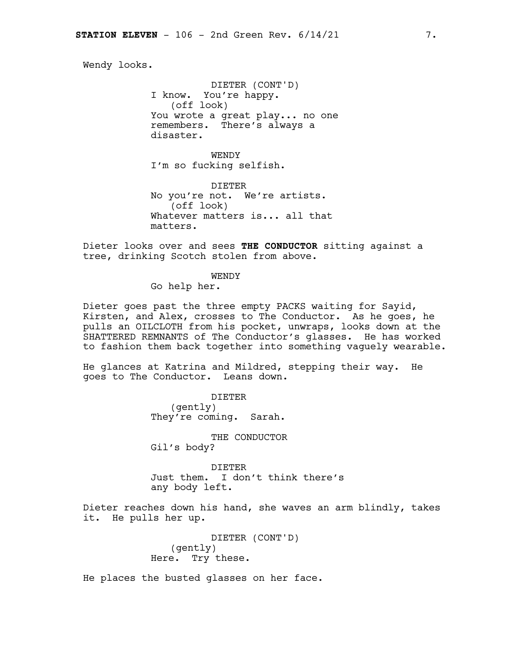Wendy looks.

DIETER (CONT'D) I know. You're happy. (off look) You wrote a great play... no one remembers. There's always a disaster.

**WENDY** I'm so fucking selfish.

DIETER No you're not. We're artists. (off look) Whatever matters is... all that matters.

Dieter looks over and sees **THE CONDUCTOR** sitting against a tree, drinking Scotch stolen from above.

### WENDY

Go help her.

Dieter goes past the three empty PACKS waiting for Sayid, Kirsten, and Alex, crosses to The Conductor. As he goes, he pulls an OILCLOTH from his pocket, unwraps, looks down at the SHATTERED REMNANTS of The Conductor's glasses. He has worked to fashion them back together into something vaguely wearable.

He glances at Katrina and Mildred, stepping their way. He goes to The Conductor. Leans down.

> DIETER (gently) They're coming. Sarah.

THE CONDUCTOR Gil's body?

DIETER Just them. I don't think there's any body left.

Dieter reaches down his hand, she waves an arm blindly, takes it. He pulls her up.

> DIETER (CONT'D) (gently) Here. Try these.

He places the busted glasses on her face.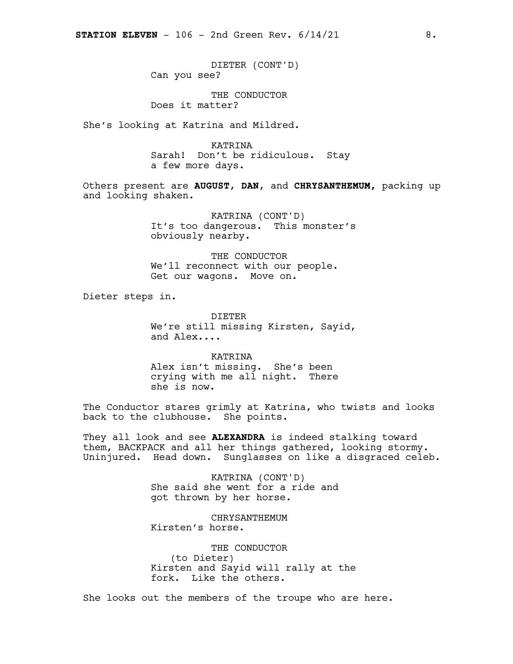DIETER (CONT'D) Can you see?

THE CONDUCTOR Does it matter?

She's looking at Katrina and Mildred.

KATRINA Sarah! Don't be ridiculous. Stay a few more days.

Others present are **AUGUST**, **DAN**, and **CHRYSANTHEMUM,** packing up and looking shaken.

> KATRINA (CONT'D) It's too dangerous. This monster's obviously nearby.

THE CONDUCTOR We'll reconnect with our people. Get our wagons. Move on.

Dieter steps in.

DIETER We're still missing Kirsten, Sayid, and Alex....

KATRINA Alex isn't missing. She's been crying with me all night. There she is now.

The Conductor stares grimly at Katrina, who twists and looks back to the clubhouse. She points.

They all look and see **ALEXANDRA** is indeed stalking toward them, BACKPACK and all her things gathered, looking stormy. Uninjured. Head down. Sunglasses on like a disgraced celeb.

> KATRINA (CONT'D) She said she went for a ride and got thrown by her horse.

CHRYSANTHEMUM Kirsten's horse.

THE CONDUCTOR (to Dieter) Kirsten and Sayid will rally at the fork. Like the others.

She looks out the members of the troupe who are here.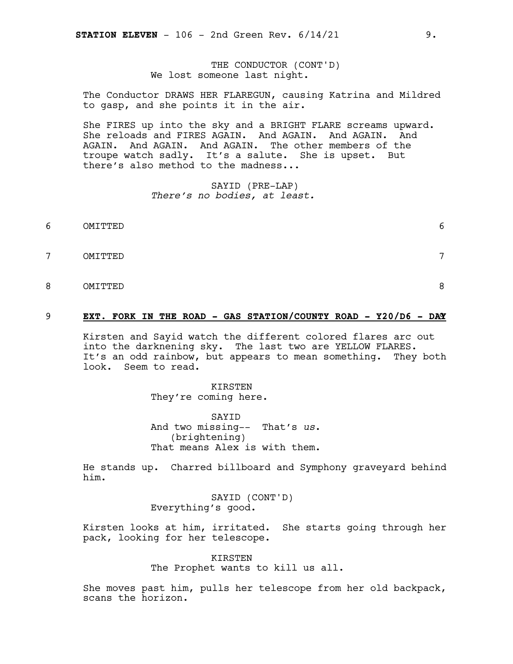THE CONDUCTOR (CONT'D) We lost someone last night.

The Conductor DRAWS HER FLAREGUN, causing Katrina and Mildred to gasp, and she points it in the air.

She FIRES up into the sky and a BRIGHT FLARE screams upward. She reloads and FIRES AGAIN. And AGAIN. And AGAIN. And AGAIN. And AGAIN. And AGAIN. The other members of the troupe watch sadly. It's a salute. She is upset. But there's also method to the madness...

> SAYID (PRE-LAP) *There's no bodies, at least.*

- 6 OMITTED 6
- 7 OMITTED 7
- 8 OMITTED 8

### 9 **EXT. FORK IN THE ROAD - GAS STATION/COUNTY ROAD - Y20/D6 - DA**9**Y**

Kirsten and Sayid watch the different colored flares arc out into the darknening sky. The last two are YELLOW FLARES. It's an odd rainbow, but appears to mean something. They both look. Seem to read.

> KIRSTEN They're coming here.

SAYID And two missing-- That's *us*. (brightening) That means Alex is with them.

He stands up. Charred billboard and Symphony graveyard behind him.

> SAYID (CONT'D) Everything's good.

Kirsten looks at him, irritated. She starts going through her pack, looking for her telescope.

> KIRSTEN The Prophet wants to kill us all.

She moves past him, pulls her telescope from her old backpack, scans the horizon.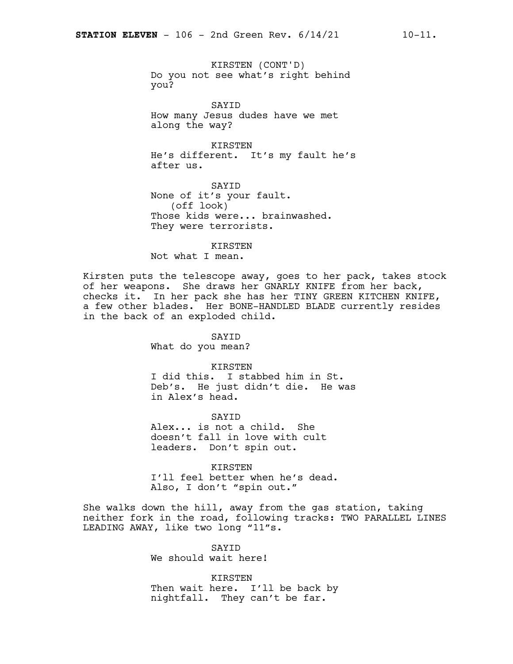KIRSTEN (CONT'D) Do you not see what's right behind you?

SAYID How many Jesus dudes have we met along the way?

KIRSTEN He's different. It's my fault he's after us.

SAYID None of it's your fault. (off look) Those kids were... brainwashed. They were terrorists.

KIRSTEN

Not what I mean.

Kirsten puts the telescope away, goes to her pack, takes stock of her weapons. She draws her GNARLY KNIFE from her back, checks it. In her pack she has her TINY GREEN KITCHEN KNIFE, a few other blades. Her BONE-HANDLED BLADE currently resides in the back of an exploded child.

> SAYID What do you mean?

KIRSTEN I did this. I stabbed him in St. Deb's. He just didn't die. He was in Alex's head.

SAYID Alex... is not a child. She doesn't fall in love with cult leaders. Don't spin out.

KIRSTEN I'll feel better when he's dead. Also, I don't "spin out."

She walks down the hill, away from the gas station, taking neither fork in the road, following tracks: TWO PARALLEL LINES LEADING AWAY, like two long "11"s.

> SAYID We should wait here!

KIRSTEN Then wait here. I'll be back by nightfall. They can't be far.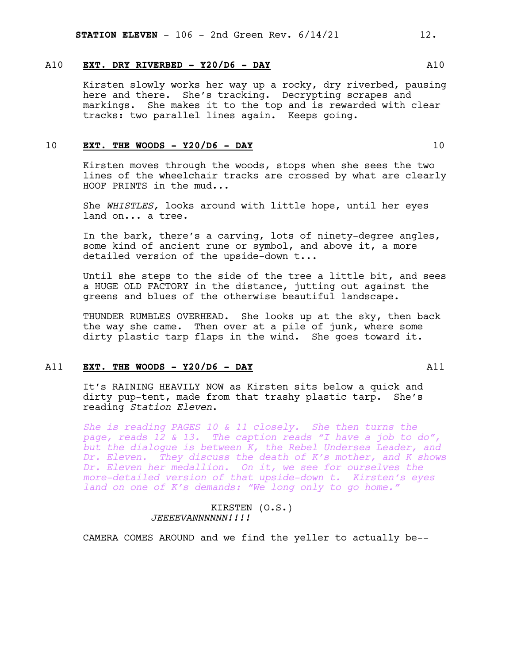### A10 **EXT. DRY RIVERBED - Y20/D6 - DAY** A10

Kirsten slowly works her way up a rocky, dry riverbed, pausing here and there. She's tracking. Decrypting scrapes and markings. She makes it to the top and is rewarded with clear tracks: two parallel lines again. Keeps going.

### 10 **EXT. THE WOODS - Y20/D6 - DAY** 10

Kirsten moves through the woods, stops when she sees the two lines of the wheelchair tracks are crossed by what are clearly HOOF PRINTS in the mud...

She *WHISTLES,* looks around with little hope, until her eyes land on... a tree.

In the bark, there's a carving, lots of ninety-degree angles, some kind of ancient rune or symbol, and above it, a more detailed version of the upside-down t...

Until she steps to the side of the tree a little bit, and sees a HUGE OLD FACTORY in the distance, jutting out against the greens and blues of the otherwise beautiful landscape.

THUNDER RUMBLES OVERHEAD. She looks up at the sky, then back the way she came. Then over at a pile of junk, where some dirty plastic tarp flaps in the wind. She goes toward it.

### A11 **EXT. THE WOODS - Y20/D6 - DAY** A11

It's RAINING HEAVILY NOW as Kirsten sits below a quick and dirty pup-tent, made from that trashy plastic tarp. She's reading *Station Eleven*.

*She is reading PAGES 10 & 11 closely. She then turns the page, reads 12 & 13. The caption reads "I have a job to do", but the dialogue is between K, the Rebel Undersea Leader, and Dr. Eleven. They discuss the death of K's mother, and K shows Dr. Eleven her medallion. On it, we see for ourselves the more-detailed version of that upside-down t. Kirsten's eyes land on one of K's demands: "We long only to go home."*

### KIRSTEN (O.S.) *JEEEEVANNNNNN!!!!*

CAMERA COMES AROUND and we find the yeller to actually be--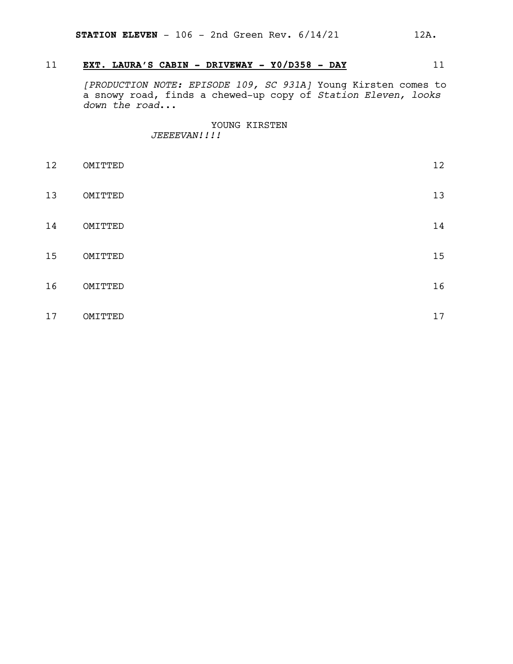### 11 **EXT. LAURA'S CABIN - DRIVEWAY - Y0/D358 - DAY** 11

*[PRODUCTION NOTE: EPISODE 109, SC 931A]* Young Kirsten comes to a snowy road, finds a chewed-up copy of *Station Eleven, looks down the road*...

> YOUNG KIRSTEN *JEEEEVAN!!!!*

| 12 | OMITTED | 12 |
|----|---------|----|
| 13 | OMITTED | 13 |
| 14 | OMITTED | 14 |
| 15 | OMITTED | 15 |
| 16 | OMITTED | 16 |
| 17 | OMITTED | 17 |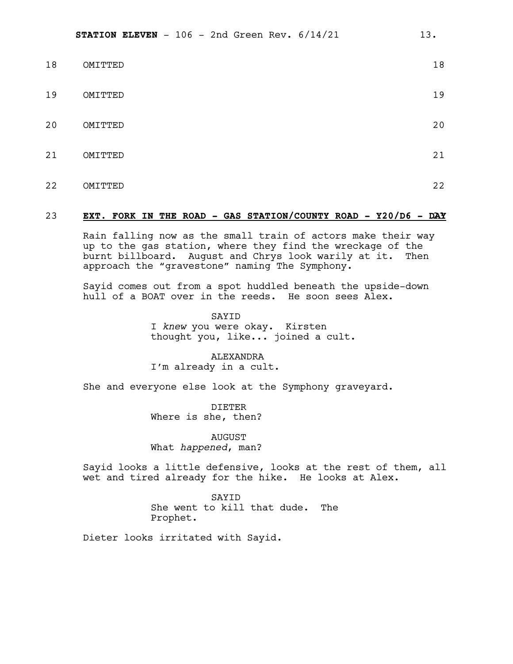| 18 | OMITTED | 18 |
|----|---------|----|
| 19 | OMITTED | 19 |
| 20 | OMITTED | 20 |
| 21 | OMITTED | 21 |
| 22 | OMITTED | 22 |

### 23 **EXT. FORK IN THE ROAD - GAS STATION/COUNTY ROAD - Y20/D6 - D**23**AY**

Rain falling now as the small train of actors make their way up to the gas station, where they find the wreckage of the burnt billboard. August and Chrys look warily at it. Then approach the "gravestone" naming The Symphony.

Sayid comes out from a spot huddled beneath the upside-down hull of a BOAT over in the reeds. He soon sees Alex.

> SAYID I *knew* you were okay. Kirsten thought you, like... joined a cult.

**ALEXANDRA** I'm already in a cult.

She and everyone else look at the Symphony graveyard.

DIETER Where is she, then?

AUGUST What *happened*, man?

Sayid looks a little defensive, looks at the rest of them, all wet and tired already for the hike. He looks at Alex.

> SAYID She went to kill that dude. The Prophet.

Dieter looks irritated with Sayid.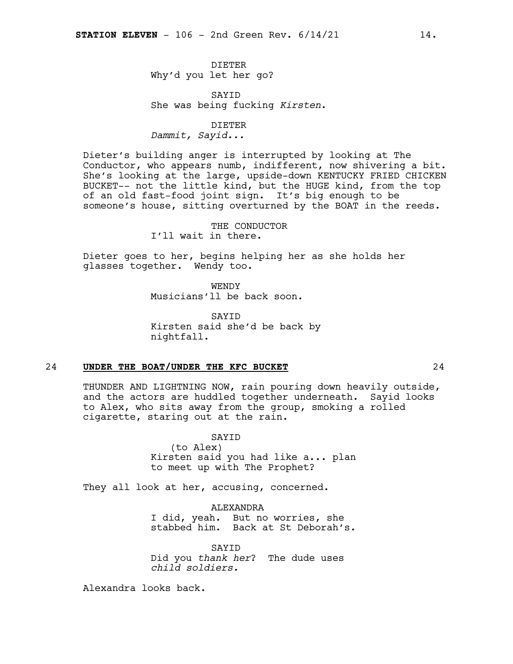DIETER Why'd you let her go?

SAYID She was being fucking *Kirsten*.

DIETER *Dammit, Sayid...*

Dieter's building anger is interrupted by looking at The Conductor, who appears numb, indifferent, now shivering a bit. She's looking at the large, upside-down KENTUCKY FRIED CHICKEN BUCKET-- not the little kind, but the HUGE kind, from the top of an old fast-food joint sign. It's big enough to be someone's house, sitting overturned by the BOAT in the reeds.

> THE CONDUCTOR I'll wait in there.

Dieter goes to her, begins helping her as she holds her glasses together. Wendy too.

> **WENDY** Musicians'll be back soon.

SAYID Kirsten said she'd be back by nightfall.

### 24 **UNDER THE BOAT/UNDER THE KFC BUCKET** 24

THUNDER AND LIGHTNING NOW, rain pouring down heavily outside, and the actors are huddled together underneath. Sayid looks to Alex, who sits away from the group, smoking a rolled cigarette, staring out at the rain.

> SAYID (to Alex) Kirsten said you had like a... plan to meet up with The Prophet?

They all look at her, accusing, concerned.

ALEXANDRA I did, yeah. But no worries, she stabbed him. Back at St Deborah's.

SAYID Did you *thank her*? The dude uses *child soldiers.*

Alexandra looks back.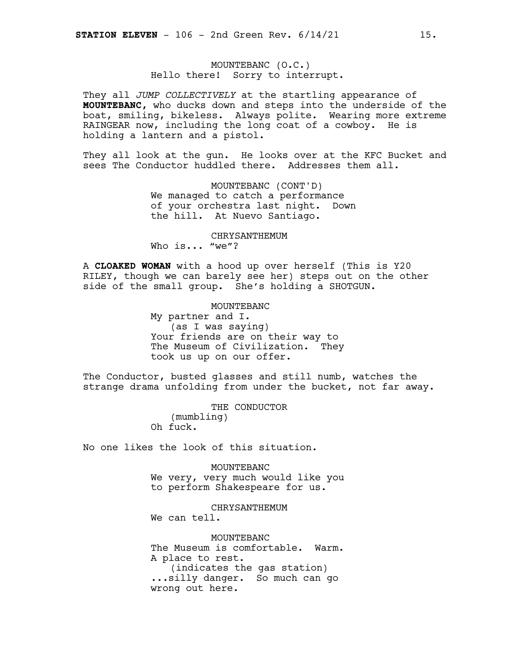MOUNTEBANC (O.C.) Hello there! Sorry to interrupt.

They all *JUMP COLLECTIVELY* at the startling appearance of **MOUNTEBANC,** who ducks down and steps into the underside of the boat, smiling, bikeless. Always polite. Wearing more extreme RAINGEAR now, including the long coat of a cowboy. He is holding a lantern and a pistol.

They all look at the gun. He looks over at the KFC Bucket and sees The Conductor huddled there. Addresses them all.

> MOUNTEBANC (CONT'D) We managed to catch a performance of your orchestra last night. Down the hill. At Nuevo Santiago.

> > CHRYSANTHEMUM

Who is... "we"?

A **CLOAKED WOMAN** with a hood up over herself (This is Y20 RILEY, though we can barely see her) steps out on the other side of the small group. She's holding a SHOTGUN.

> MOUNTEBANC My partner and I. (as I was saying) Your friends are on their way to The Museum of Civilization. They took us up on our offer.

The Conductor, busted glasses and still numb, watches the strange drama unfolding from under the bucket, not far away.

> THE CONDUCTOR (mumbling) Oh fuck.

No one likes the look of this situation.

MOUNTEBANC We very, very much would like you to perform Shakespeare for us.

CHRYSANTHEMUM We can tell.

MOUNTEBANC The Museum is comfortable. Warm. A place to rest. (indicates the gas station) ...silly danger. So much can go wrong out here.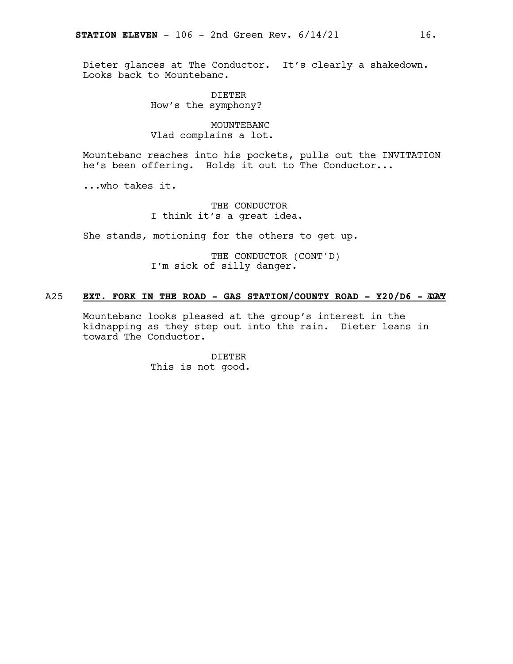Dieter glances at The Conductor. It's clearly a shakedown. Looks back to Mountebanc.

> DIETER How's the symphony?

### MOUNTEBANC Vlad complains a lot.

Mountebanc reaches into his pockets, pulls out the INVITATION he's been offering. Holds it out to The Conductor...

...who takes it.

THE CONDUCTOR I think it's a great idea.

She stands, motioning for the others to get up.

THE CONDUCTOR (CONT'D) I'm sick of silly danger.

### A25 **EXT. FORK IN THE ROAD - GAS STATION/COUNTY ROAD - Y20/D6 -** A25 **DAY**

Mountebanc looks pleased at the group's interest in the kidnapping as they step out into the rain. Dieter leans in toward The Conductor.

> DIETER This is not good.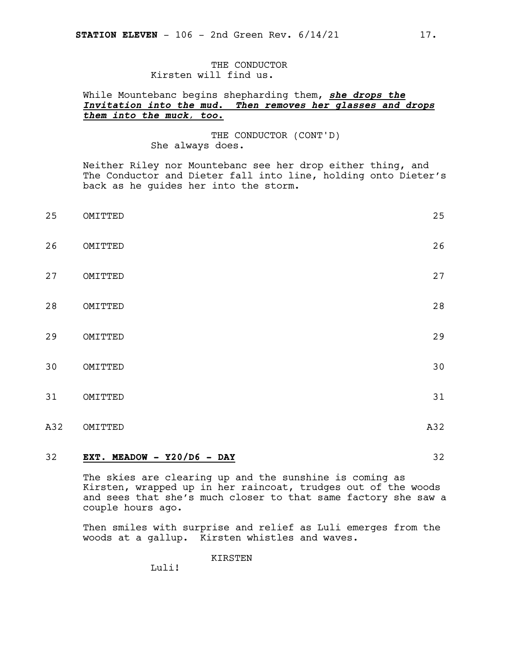### THE CONDUCTOR Kirsten will find us.

### While Mountebanc begins shepharding them, *she drops the Invitation into the mud. Then removes her glasses and drops them into the muck, too.*

THE CONDUCTOR (CONT'D) She always does.

Neither Riley nor Mountebanc see her drop either thing, and The Conductor and Dieter fall into line, holding onto Dieter's back as he guides her into the storm.

| 25  | OMITTED | 25  |
|-----|---------|-----|
| 26  | OMITTED | 26  |
| 27  | OMITTED | 27  |
| 28  | OMITTED | 28  |
| 29  | OMITTED | 29  |
| 30  | OMITTED | 30  |
| 31  | OMITTED | 31  |
| A32 | OMITTED | A32 |

### 32 **EXT. MEADOW - Y20/D6 - DAY** 32

The skies are clearing up and the sunshine is coming as Kirsten, wrapped up in her raincoat, trudges out of the woods and sees that she's much closer to that same factory she saw a couple hours ago.

Then smiles with surprise and relief as Luli emerges from the woods at a gallup. Kirsten whistles and waves.

KIRSTEN

Luli!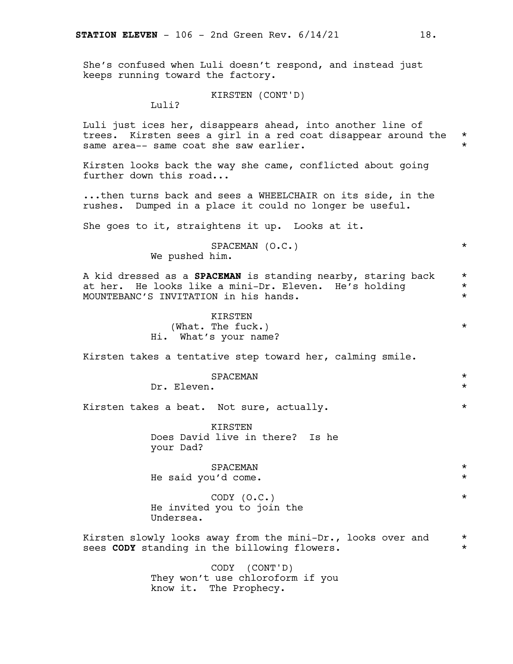She's confused when Luli doesn't respond, and instead just keeps running toward the factory.

KIRSTEN (CONT'D)

Luli?

Luli just ices her, disappears ahead, into another line of trees. Kirsten sees a girl in a red coat disappear around the \* same area-- same coat she saw earlier.

Kirsten looks back the way she came, conflicted about going further down this road...

...then turns back and sees a WHEELCHAIR on its side, in the rushes. Dumped in a place it could no longer be useful.

She goes to it, straightens it up. Looks at it.

SPACEMAN (O.C.) \* We pushed him.

A kid dressed as a **SPACEMAN** is standing nearby, staring back \* at her. He looks like a mini-Dr. Eleven. He's holding \* MOUNTEBANC'S INVITATION in his hands. \*

> KIRSTEN (What. The fuck.)  $\star$ Hi. What's your name?

Kirsten takes a tentative step toward her, calming smile.

|                                              | SPACEMAN                                                    | $\star$            |
|----------------------------------------------|-------------------------------------------------------------|--------------------|
| Dr. Eleven.                                  |                                                             | $\star$            |
| Kirsten takes a beat. Not sure, actually.    |                                                             | $\star$            |
| your Dad?                                    | KIRSTEN<br>Does David live in there? Is he                  |                    |
| He said you'd come.                          | SPACEMAN                                                    | $\star$<br>$\star$ |
| Undersea.                                    | $CODY$ $(O.C.)$<br>He invited you to join the               | $\star$            |
| sees CODY standing in the billowing flowers. | Kirsten slowly looks away from the mini-Dr., looks over and | $\star$<br>$\star$ |
|                                              | (CONT'D)<br>CODY                                            |                    |

They won't use chloroform if you

know it. The Prophecy.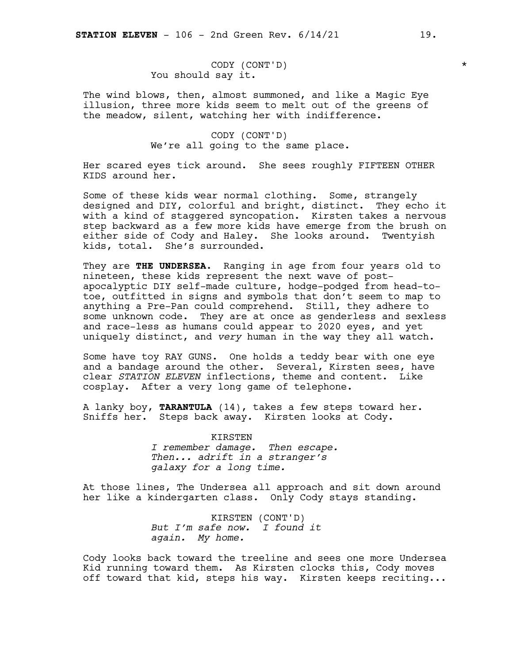### CODY (CONT'D) \* You should say it.

The wind blows, then, almost summoned, and like a Magic Eye illusion, three more kids seem to melt out of the greens of the meadow, silent, watching her with indifference.

> CODY (CONT'D) We're all going to the same place.

Her scared eyes tick around. She sees roughly FIFTEEN OTHER KIDS around her.

Some of these kids wear normal clothing. Some, strangely designed and DIY, colorful and bright, distinct. They echo it with a kind of staggered syncopation. Kirsten takes a nervous step backward as a few more kids have emerge from the brush on either side of Cody and Haley. She looks around. Twentyish kids, total. She's surrounded.

They are **THE UNDERSEA**. Ranging in age from four years old to nineteen, these kids represent the next wave of postapocalyptic DIY self-made culture, hodge-podged from head-totoe, outfitted in signs and symbols that don't seem to map to anything a Pre-Pan could comprehend. Still, they adhere to some unknown code. They are at once as genderless and sexless and race-less as humans could appear to 2020 eyes, and yet uniquely distinct, and *very* human in the way they all watch.

Some have toy RAY GUNS. One holds a teddy bear with one eye and a bandage around the other. Several, Kirsten sees, have clear *STATION ELEVEN* inflections, theme and content. Like cosplay. After a very long game of telephone.

A lanky boy, **TARANTULA** (14), takes a few steps toward her. Sniffs her. Steps back away. Kirsten looks at Cody.

> KIRSTEN *I remember damage. Then escape. Then... adrift in a stranger's galaxy for a long time.*

At those lines, The Undersea all approach and sit down around her like a kindergarten class. Only Cody stays standing.

> KIRSTEN (CONT'D) *But I'm safe now. I found it again. My home.*

Cody looks back toward the treeline and sees one more Undersea Kid running toward them. As Kirsten clocks this, Cody moves off toward that kid, steps his way. Kirsten keeps reciting...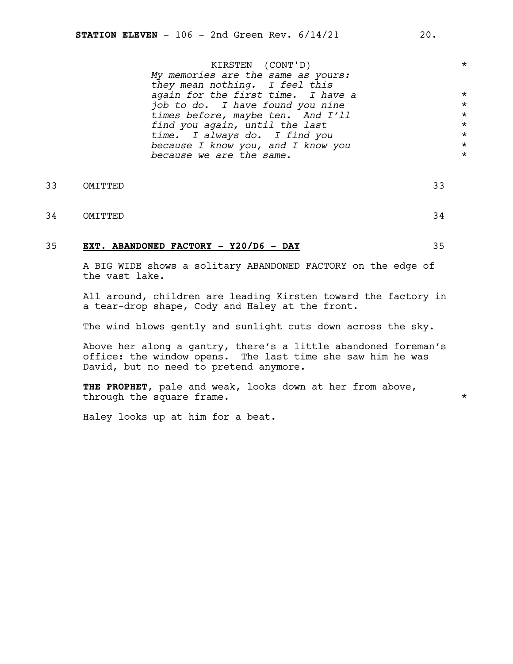KIRSTEN (CONT'D) \* *My memories are the same as yours: they mean nothing. I feel this again for the first time. I have a* \* *job to do. I have found you nine* \* *times before, maybe ten. And I'll* \* *find you again, until the last* \* *time. I always do. I find you* \* *because I know you, and I know you* \* *because we are the same.* \*

- 33 OMITTED 33
- 34 OMITTED 34

### 35 **EXT. ABANDONED FACTORY - Y20/D6 - DAY** 35

A BIG WIDE shows a solitary ABANDONED FACTORY on the edge of the vast lake.

All around, children are leading Kirsten toward the factory in a tear-drop shape, Cody and Haley at the front.

The wind blows gently and sunlight cuts down across the sky.

Above her along a gantry, there's a little abandoned foreman's office: the window opens. The last time she saw him he was David, but no need to pretend anymore.

**THE PROPHET**, pale and weak, looks down at her from above, through the square frame.

Haley looks up at him for a beat.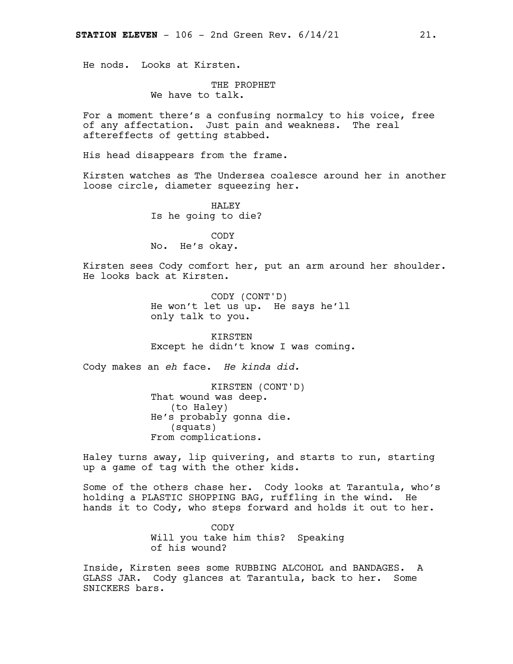He nods. Looks at Kirsten.

# THE PROPHET

We have to talk.

For a moment there's a confusing normalcy to his voice, free of any affectation. Just pain and weakness. The real aftereffects of getting stabbed.

His head disappears from the frame.

Kirsten watches as The Undersea coalesce around her in another loose circle, diameter squeezing her.

> HALEY Is he going to die?

CODY No. He's okay.

Kirsten sees Cody comfort her, put an arm around her shoulder. He looks back at Kirsten.

> CODY (CONT'D) He won't let us up. He says he'll only talk to you.

KIRSTEN Except he didn't know I was coming.

Cody makes an *eh* face. *He kinda did.*

KIRSTEN (CONT'D) That wound was deep. (to Haley) He's probably gonna die. (squats) From complications.

Haley turns away, lip quivering, and starts to run, starting up a game of tag with the other kids.

Some of the others chase her. Cody looks at Tarantula, who's holding a PLASTIC SHOPPING BAG, ruffling in the wind. He hands it to Cody, who steps forward and holds it out to her.

> CODY Will you take him this? Speaking of his wound?

Inside, Kirsten sees some RUBBING ALCOHOL and BANDAGES. A GLASS JAR. Cody glances at Tarantula, back to her. Some SNICKERS bars.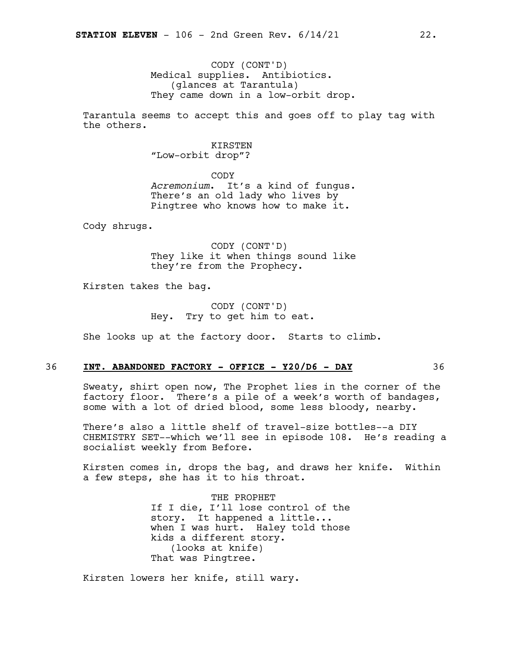CODY (CONT'D) Medical supplies. Antibiotics. (glances at Tarantula) They came down in a low-orbit drop.

Tarantula seems to accept this and goes off to play tag with the others.

> KIRSTEN "Low-orbit drop"?

CODY *Acremonium*. It's a kind of fungus. There's an old lady who lives by Pingtree who knows how to make it.

Cody shrugs.

CODY (CONT'D) They like it when things sound like they're from the Prophecy.

Kirsten takes the bag.

CODY (CONT'D) Hey. Try to get him to eat.

She looks up at the factory door. Starts to climb.

### 36 **INT. ABANDONED FACTORY - OFFICE - Y20/D6 - DAY** 36

Sweaty, shirt open now, The Prophet lies in the corner of the factory floor. There's a pile of a week's worth of bandages, some with a lot of dried blood, some less bloody, nearby.

There's also a little shelf of travel-size bottles--a DIY CHEMISTRY SET--which we'll see in episode 108. He's reading a socialist weekly from Before.

Kirsten comes in, drops the bag, and draws her knife. Within a few steps, she has it to his throat.

> THE PROPHET If I die, I'll lose control of the story. It happened a little... when I was hurt. Haley told those kids a different story. (looks at knife) That was Pingtree.

Kirsten lowers her knife, still wary.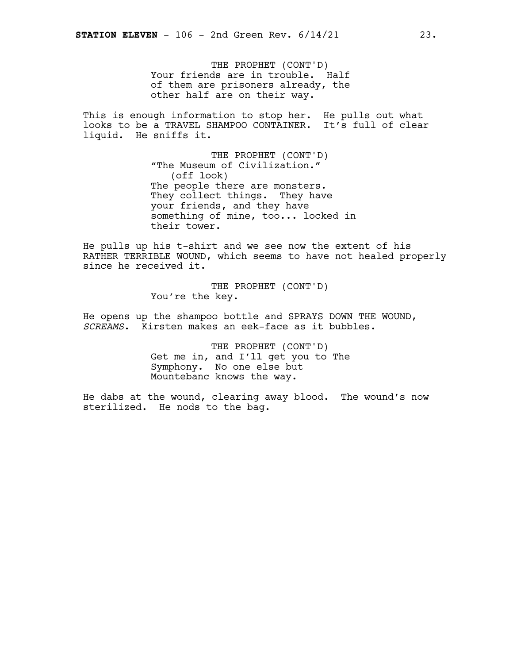THE PROPHET (CONT'D) Your friends are in trouble. Half of them are prisoners already, the other half are on their way.

This is enough information to stop her. He pulls out what looks to be a TRAVEL SHAMPOO CONTAINER. It's full of clear liquid. He sniffs it.

> THE PROPHET (CONT'D) "The Museum of Civilization." (off look) The people there are monsters. They collect things. They have your friends, and they have something of mine, too... locked in their tower.

He pulls up his t-shirt and we see now the extent of his RATHER TERRIBLE WOUND, which seems to have not healed properly since he received it.

> THE PROPHET (CONT'D) You're the key.

He opens up the shampoo bottle and SPRAYS DOWN THE WOUND, *SCREAMS*. Kirsten makes an eek-face as it bubbles.

> THE PROPHET (CONT'D) Get me in, and I'll get you to The Symphony. No one else but Mountebanc knows the way.

He dabs at the wound, clearing away blood. The wound's now sterilized. He nods to the bag.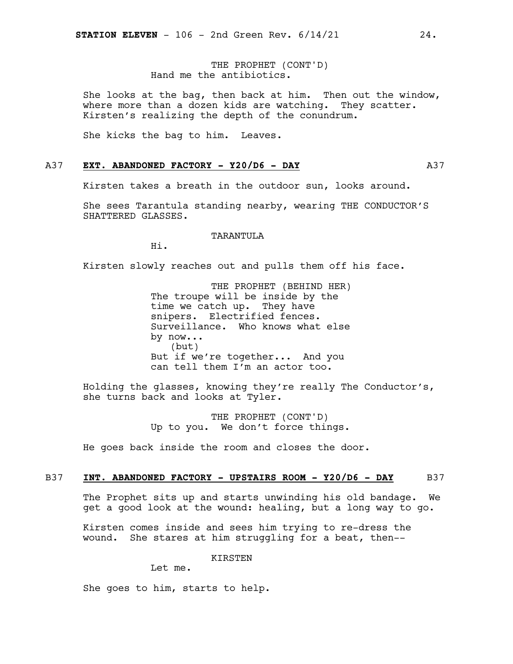THE PROPHET (CONT'D) Hand me the antibiotics.

She looks at the bag, then back at him. Then out the window, where more than a dozen kids are watching. They scatter. Kirsten's realizing the depth of the conundrum.

She kicks the bag to him. Leaves.

### A37 **EXT. ABANDONED FACTORY - Y20/D6 - DAY** A37

Kirsten takes a breath in the outdoor sun, looks around.

She sees Tarantula standing nearby, wearing THE CONDUCTOR'S SHATTERED GLASSES.

### TARANTULA

Hi.

Kirsten slowly reaches out and pulls them off his face.

THE PROPHET (BEHIND HER) The troupe will be inside by the time we catch up. They have snipers. Electrified fences. Surveillance. Who knows what else by now... (but) But if we're together... And you can tell them I'm an actor too.

Holding the glasses, knowing they're really The Conductor's, she turns back and looks at Tyler.

> THE PROPHET (CONT'D) Up to you. We don't force things.

He goes back inside the room and closes the door.

### B37 **INT. ABANDONED FACTORY - UPSTAIRS ROOM - Y20/D6 - DAY** B37

The Prophet sits up and starts unwinding his old bandage. We get a good look at the wound: healing, but a long way to go.

Kirsten comes inside and sees him trying to re-dress the wound. She stares at him struggling for a beat, then--

KIRSTEN

Let me.

She goes to him, starts to help.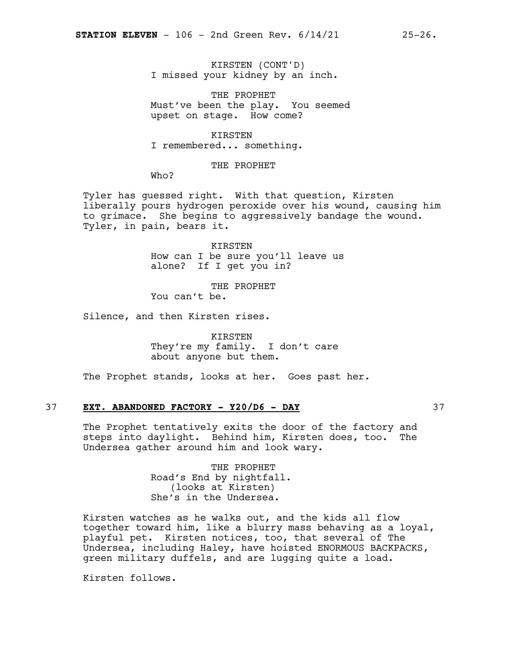KIRSTEN (CONT'D) I missed your kidney by an inch.

THE PROPHET Must've been the play. You seemed upset on stage. How come?

KIRSTEN I remembered... something.

THE PROPHET

Who?

Tyler has guessed right. With that question, Kirsten liberally pours hydrogen peroxide over his wound, causing him to grimace. She begins to aggressively bandage the wound. Tyler, in pain, bears it.

> KIRSTEN How can I be sure you'll leave us alone? If I get you in?

THE PROPHET You can't be.

Silence, and then Kirsten rises.

KIRSTEN They're my family. I don't care about anyone but them.

The Prophet stands, looks at her. Goes past her.

### 37 **EXT. ABANDONED FACTORY - Y20/D6 - DAY** 37

The Prophet tentatively exits the door of the factory and steps into daylight. Behind him, Kirsten does, too. The Undersea gather around him and look wary.

> THE PROPHET Road's End by nightfall. (looks at Kirsten) She's in the Undersea.

Kirsten watches as he walks out, and the kids all flow together toward him, like a blurry mass behaving as a loyal, playful pet. Kirsten notices, too, that several of The Undersea, including Haley, have hoisted ENORMOUS BACKPACKS, green military duffels, and are lugging quite a load.

Kirsten follows.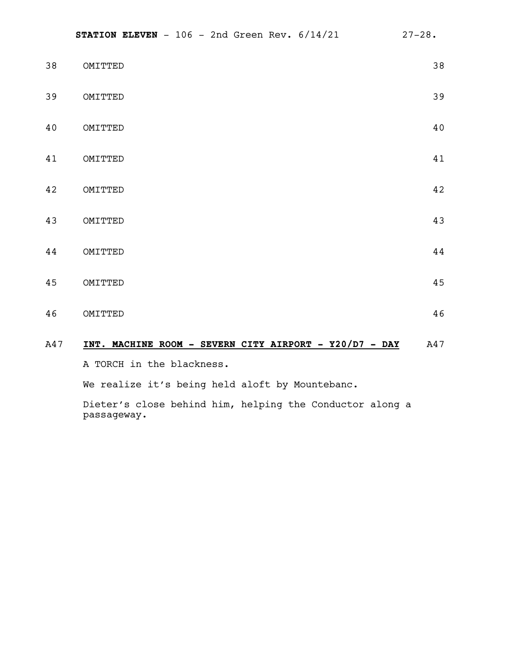| A47 | INT. MACHINE ROOM - SEVERN CITY AIRPORT - Y20/D7 - DAY | A47    |
|-----|--------------------------------------------------------|--------|
| 46  | OMITTED                                                | 46     |
| 45  | OMITTED                                                | 45     |
| 44  | OMITTED                                                | $4\,4$ |
| 43  | OMITTED                                                | 43     |
| 42  | OMITTED                                                | 42     |
| 41  | OMITTED                                                | 41     |
| 40  | OMITTED                                                | 40     |
| 39  | OMITTED                                                | 39     |
| 38  | OMITTED                                                | 38     |

A TORCH in the blackness.

We realize it's being held aloft by Mountebanc.

Dieter's close behind him, helping the Conductor along a passageway.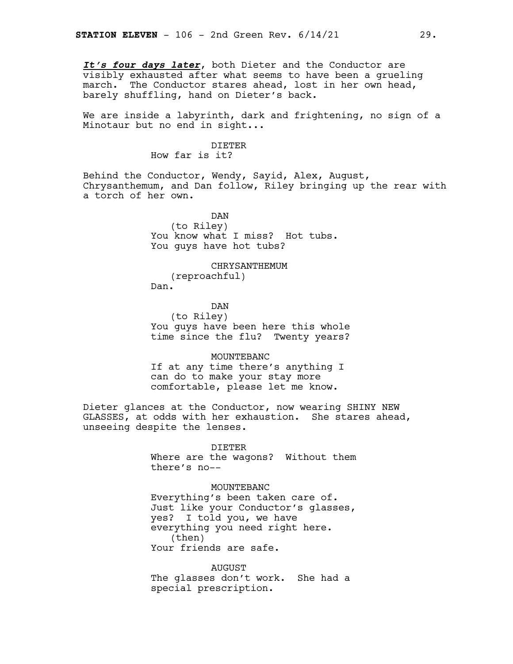*It's four days later*, both Dieter and the Conductor are visibly exhausted after what seems to have been a grueling march. The Conductor stares ahead, lost in her own head, barely shuffling, hand on Dieter's back.

We are inside a labyrinth, dark and frightening, no sign of a Minotaur but no end in sight...

### DIETER

How far is it?

Behind the Conductor, Wendy, Sayid, Alex, August, Chrysanthemum, and Dan follow, Riley bringing up the rear with a torch of her own.

> DAN (to Riley) You know what I miss? Hot tubs. You guys have hot tubs?

> > CHRYSANTHEMUM

(reproachful) Dan.

DAN

(to Riley) You guys have been here this whole time since the flu? Twenty years?

MOUNTEBANC

If at any time there's anything I can do to make your stay more comfortable, please let me know.

Dieter glances at the Conductor, now wearing SHINY NEW GLASSES, at odds with her exhaustion. She stares ahead, unseeing despite the lenses.

> DIETER Where are the wagons? Without them there's no--

> > MOUNTEBANC

Everything's been taken care of. Just like your Conductor's glasses, yes? I told you, we have everything you need right here. (then) Your friends are safe.

AUGUST The glasses don't work. She had a special prescription.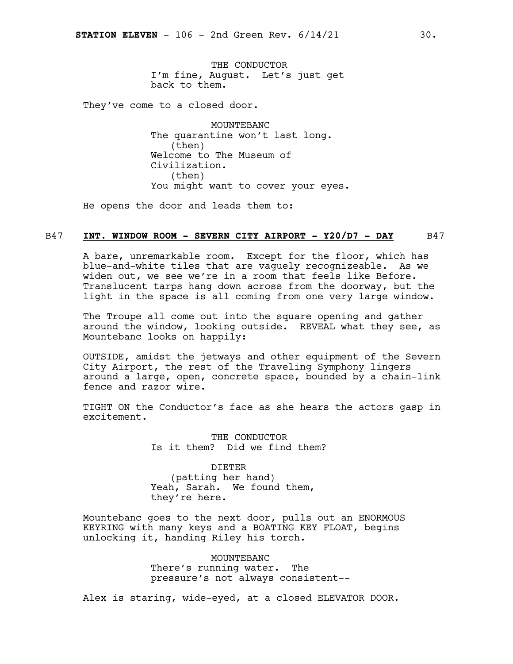THE CONDUCTOR I'm fine, August. Let's just get back to them.

They've come to a closed door.

MOUNTEBANC The quarantine won't last long. (then) Welcome to The Museum of Civilization. (then) You might want to cover your eyes.

He opens the door and leads them to:

### B47 **INT. WINDOW ROOM - SEVERN CITY AIRPORT - Y20/D7 - DAY** B47

A bare, unremarkable room. Except for the floor, which has blue-and-white tiles that are vaguely recognizeable. As we widen out, we see we're in a room that feels like Before. Translucent tarps hang down across from the doorway, but the light in the space is all coming from one very large window.

The Troupe all come out into the square opening and gather around the window, looking outside. REVEAL what they see, as Mountebanc looks on happily:

OUTSIDE, amidst the jetways and other equipment of the Severn City Airport, the rest of the Traveling Symphony lingers around a large, open, concrete space, bounded by a chain-link fence and razor wire.

TIGHT ON the Conductor's face as she hears the actors gasp in excitement.

> THE CONDUCTOR Is it them? Did we find them?

DIETER (patting her hand) Yeah, Sarah. We found them, they're here.

Mountebanc goes to the next door, pulls out an ENORMOUS KEYRING with many keys and a BOATING KEY FLOAT, begins unlocking it, handing Riley his torch.

> MOUNTEBANC There's running water. The pressure's not always consistent--

Alex is staring, wide-eyed, at a closed ELEVATOR DOOR.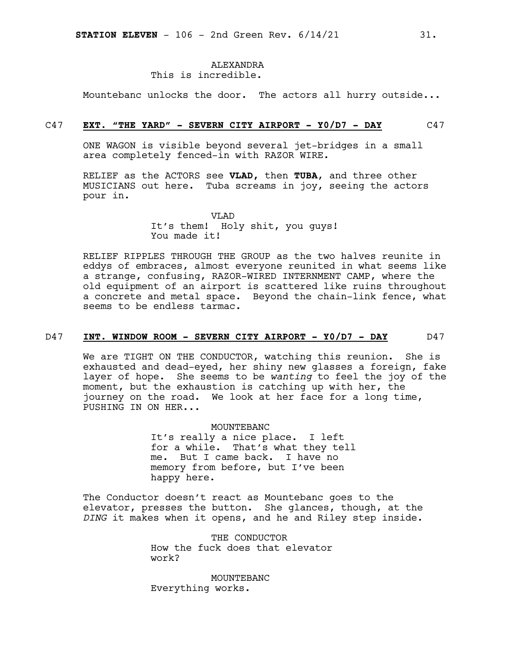### ALEXANDRA This is incredible.

Mountebanc unlocks the door. The actors all hurry outside...

### C47 **EXT. "THE YARD" - SEVERN CITY AIRPORT - Y0/D7 - DAY** C47

ONE WAGON is visible beyond several jet-bridges in a small area completely fenced-in with RAZOR WIRE.

RELIEF as the ACTORS see **VLAD,** then **TUBA**, and three other MUSICIANS out here. Tuba screams in joy, seeing the actors pour in.

> VLAD It's them! Holy shit, you guys! You made it!

RELIEF RIPPLES THROUGH THE GROUP as the two halves reunite in eddys of embraces, almost everyone reunited in what seems like a strange, confusing, RAZOR-WIRED INTERNMENT CAMP, where the old equipment of an airport is scattered like ruins throughout a concrete and metal space. Beyond the chain-link fence, what seems to be endless tarmac.

### D47 **INT. WINDOW ROOM - SEVERN CITY AIRPORT - Y0/D7 - DAY** D47

We are TIGHT ON THE CONDUCTOR, watching this reunion. She is exhausted and dead-eyed, her shiny new glasses a foreign, fake layer of hope. She seems to be *wanting* to feel the joy of the moment, but the exhaustion is catching up with her, the journey on the road. We look at her face for a long time, PUSHING IN ON HER...

> MOUNTEBANC It's really a nice place. I left for a while. That's what they tell me. But I came back. I have no memory from before, but I've been happy here.

The Conductor doesn't react as Mountebanc goes to the elevator, presses the button. She glances, though, at the *DING* it makes when it opens, and he and Riley step inside.

> THE CONDUCTOR How the fuck does that elevator work?

MOUNTEBANC Everything works.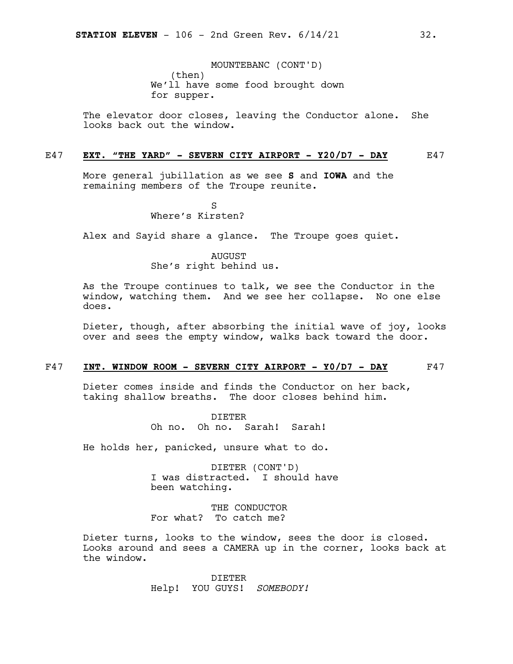MOUNTEBANC (CONT'D) (then) We'll have some food brought down for supper.

The elevator door closes, leaving the Conductor alone. She looks back out the window.

### E47 **EXT. "THE YARD" - SEVERN CITY AIRPORT - Y20/D7 - DAY** E47

More general jubillation as we see **S** and **IOWA** and the remaining members of the Troupe reunite.

> S Where's Kirsten?

Alex and Sayid share a glance. The Troupe goes quiet.

AUGUST She's right behind us.

As the Troupe continues to talk, we see the Conductor in the window, watching them. And we see her collapse. No one else does.

Dieter, though, after absorbing the initial wave of joy, looks over and sees the empty window, walks back toward the door.

### F47 **INT. WINDOW ROOM - SEVERN CITY AIRPORT - Y0/D7 - DAY** F47

Dieter comes inside and finds the Conductor on her back, taking shallow breaths. The door closes behind him.

> DIETER Oh no. Oh no. Sarah! Sarah!

He holds her, panicked, unsure what to do.

DIETER (CONT'D) I was distracted. I should have been watching.

THE CONDUCTOR For what? To catch me?

Dieter turns, looks to the window, sees the door is closed. Looks around and sees a CAMERA up in the corner, looks back at the window.

> DIETER Help! YOU GUYS! *SOMEBODY!*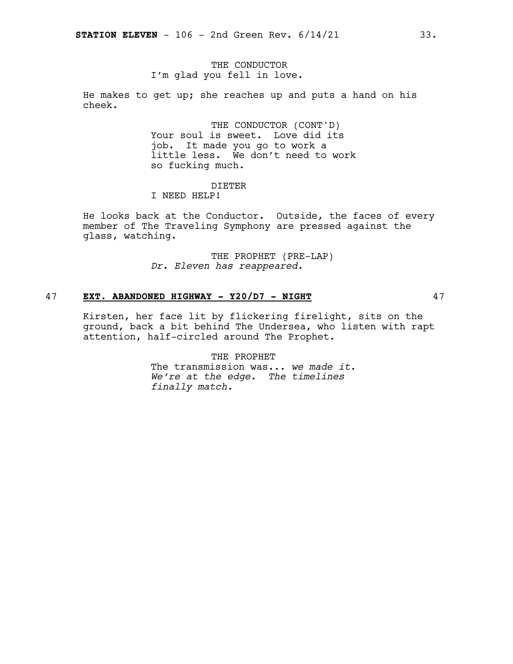### THE CONDUCTOR I'm glad you fell in love.

He makes to get up; she reaches up and puts a hand on his cheek.

> THE CONDUCTOR (CONT'D) Your soul is sweet. Love did its job. It made you go to work a little less. We don't need to work so fucking much.

### DIETER

I NEED HELP!

He looks back at the Conductor. Outside, the faces of every member of The Traveling Symphony are pressed against the glass, watching.

> THE PROPHET (PRE-LAP) *Dr. Eleven has reappeared.*

### 47 **EXT. ABANDONED HIGHWAY - Y20/D7 - NIGHT** 47

Kirsten, her face lit by flickering firelight, sits on the ground, back a bit behind The Undersea, who listen with rapt attention, half-circled around The Prophet.

> THE PROPHET The transmission was... *we made it. We're at the edge. The timelines finally match.*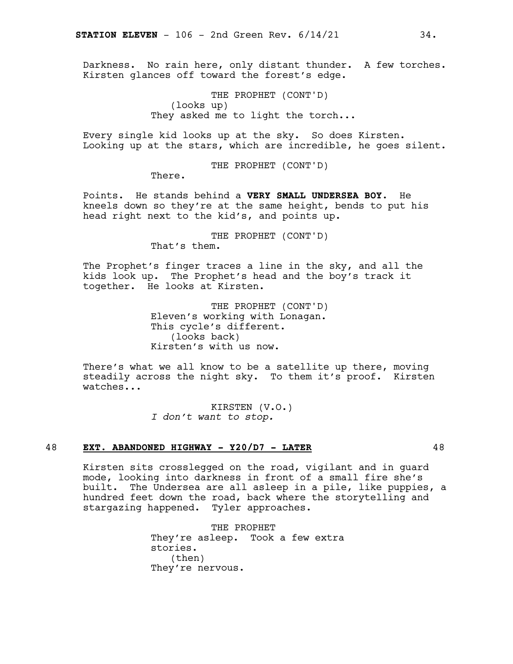Darkness. No rain here, only distant thunder. A few torches. Kirsten glances off toward the forest's edge.

> THE PROPHET (CONT'D) (looks up) They asked me to light the torch...

Every single kid looks up at the sky. So does Kirsten. Looking up at the stars, which are incredible, he goes silent.

THE PROPHET (CONT'D)

There.

Points. He stands behind a **VERY SMALL UNDERSEA BOY**. He kneels down so they're at the same height, bends to put his head right next to the kid's, and points up.

THE PROPHET (CONT'D)

That's them.

The Prophet's finger traces a line in the sky, and all the kids look up. The Prophet's head and the boy's track it together. He looks at Kirsten.

> THE PROPHET (CONT'D) Eleven's working with Lonagan. This cycle's different. (looks back) Kirsten's with us now.

There's what we all know to be a satellite up there, moving steadily across the night sky. To them it's proof. Kirsten watches...

> KIRSTEN (V.O.) *I don't want to stop.*

### 48 **EXT. ABANDONED HIGHWAY - Y20/D7 - LATER** 48

Kirsten sits crosslegged on the road, vigilant and in guard mode, looking into darkness in front of a small fire she's built. The Undersea are all asleep in a pile, like puppies, a hundred feet down the road, back where the storytelling and stargazing happened. Tyler approaches.

> THE PROPHET They're asleep. Took a few extra stories. (then) They're nervous.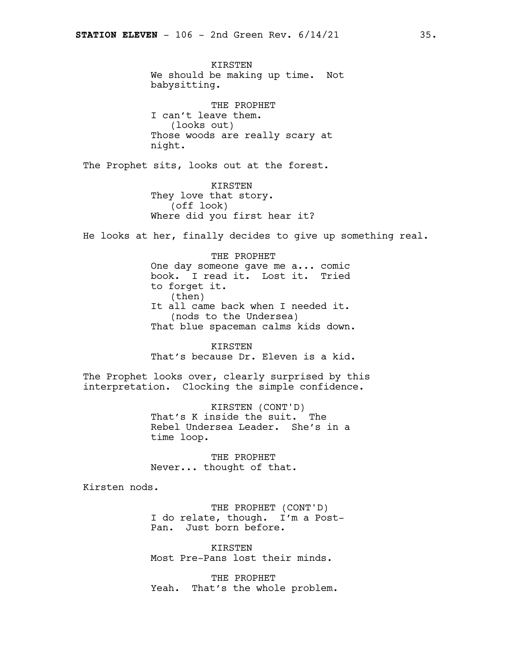KIRSTEN We should be making up time. Not babysitting.

THE PROPHET I can't leave them. (looks out) Those woods are really scary at night.

The Prophet sits, looks out at the forest.

KIRSTEN They love that story. (off look) Where did you first hear it?

He looks at her, finally decides to give up something real.

THE PROPHET One day someone gave me a... comic book. I read it. Lost it. Tried to forget it. (then) It all came back when I needed it. (nods to the Undersea) That blue spaceman calms kids down.

KIRSTEN That's because Dr. Eleven is a kid.

The Prophet looks over, clearly surprised by this interpretation. Clocking the simple confidence.

> KIRSTEN (CONT'D) That's K inside the suit. The Rebel Undersea Leader. She's in a time loop.

THE PROPHET Never... thought of that.

Kirsten nods.

THE PROPHET (CONT'D) I do relate, though. I'm a Post-Pan. Just born before.

KIRSTEN Most Pre-Pans lost their minds.

THE PROPHET Yeah. That's the whole problem.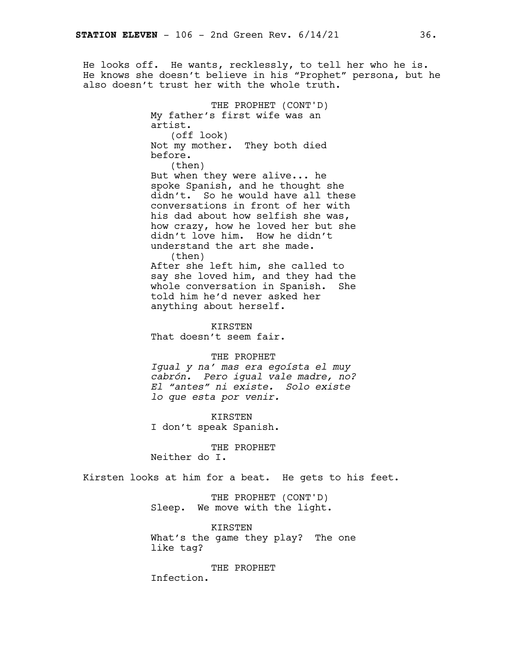He looks off. He wants, recklessly, to tell her who he is. He knows she doesn't believe in his "Prophet" persona, but he also doesn't trust her with the whole truth.

> THE PROPHET (CONT'D) My father's first wife was an artist. (off look) Not my mother. They both died before. (then) But when they were alive... he spoke Spanish, and he thought she didn't. So he would have all these conversations in front of her with his dad about how selfish she was, how crazy, how he loved her but she didn't love him. How he didn't understand the art she made. (then) After she left him, she called to say she loved him, and they had the whole conversation in Spanish. She told him he'd never asked her anything about herself. KIRSTEN That doesn't seem fair. THE PROPHET

*Igual y na' mas era egoísta el muy cabrón. Pero igual vale madre, no? El "antes" ni existe. Solo existe lo que esta por venir.*

KIRSTEN I don't speak Spanish.

THE PROPHET

Neither do I.

Kirsten looks at him for a beat. He gets to his feet.

THE PROPHET (CONT'D) Sleep. We move with the light.

KIRSTEN What's the game they play? The one like tag?

THE PROPHET

Infection.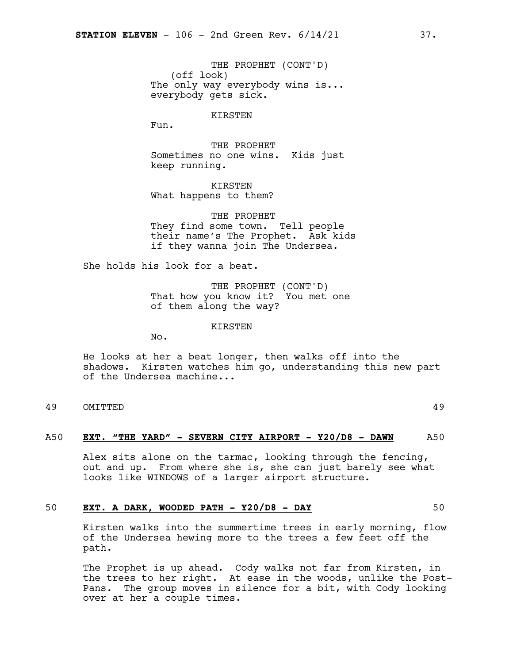THE PROPHET (CONT'D) (off look) The only way everybody wins is... everybody gets sick.

### KIRSTEN

Fun.

THE PROPHET Sometimes no one wins. Kids just keep running.

KIRSTEN What happens to them?

THE PROPHET They find some town. Tell people their name's The Prophet. Ask kids if they wanna join The Undersea.

She holds his look for a beat.

THE PROPHET (CONT'D) That how you know it? You met one of them along the way?

KIRSTEN

No.

He looks at her a beat longer, then walks off into the shadows. Kirsten watches him go, understanding this new part of the Undersea machine...

49 OMITTED 49

### A50 **EXT. "THE YARD" - SEVERN CITY AIRPORT - Y20/D8 - DAWN** A50

Alex sits alone on the tarmac, looking through the fencing, out and up. From where she is, she can just barely see what looks like WINDOWS of a larger airport structure.

### 50 **EXT. A DARK, WOODED PATH - Y20/D8 - DAY** 50

Kirsten walks into the summertime trees in early morning, flow of the Undersea hewing more to the trees a few feet off the path.

The Prophet is up ahead. Cody walks not far from Kirsten, in the trees to her right. At ease in the woods, unlike the Post-Pans. The group moves in silence for a bit, with Cody looking over at her a couple times.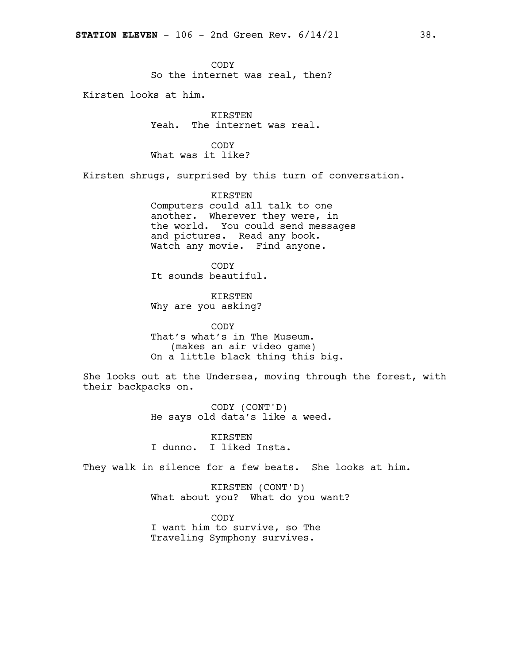CODY So the internet was real, then?

Kirsten looks at him.

KIRSTEN Yeah. The internet was real.

CODY What was it like?

Kirsten shrugs, surprised by this turn of conversation.

KIRSTEN Computers could all talk to one another. Wherever they were, in the world. You could send messages and pictures. Read any book. Watch any movie. Find anyone.

CODY It sounds beautiful.

KIRSTEN Why are you asking?

CODY That's what's in The Museum. (makes an air video game) On a little black thing this big.

She looks out at the Undersea, moving through the forest, with their backpacks on.

> CODY (CONT'D) He says old data's like a weed.

KIRSTEN I dunno. I liked Insta.

They walk in silence for a few beats. She looks at him.

KIRSTEN (CONT'D) What about you? What do you want?

CODY I want him to survive, so The Traveling Symphony survives.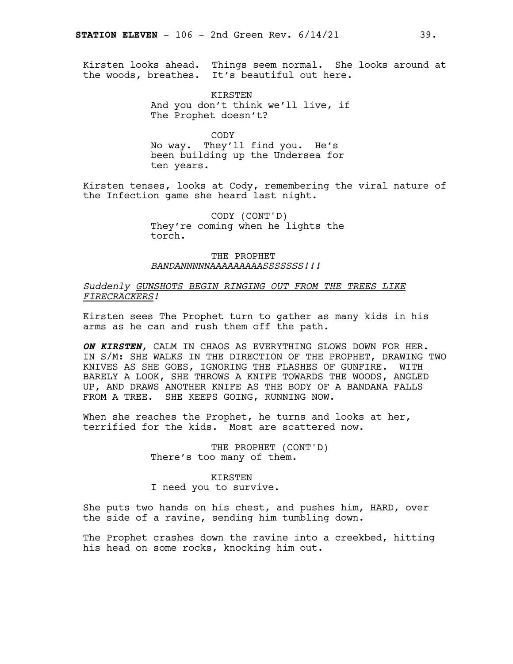Kirsten looks ahead. Things seem normal. She looks around at the woods, breathes. It's beautiful out here.

> **KIRSTEN** And you don't think we'll live, if The Prophet doesn't?

> > CODY

No way. They'll find you. He's been building up the Undersea for ten years.

Kirsten tenses, looks at Cody, remembering the viral nature of the Infection game she heard last night.

> CODY (CONT'D) They're coming when he lights the torch.

THE PROPHET *BANDANNNNNAAAAAAAAASSSSSSS!!!*

### *Suddenly GUNSHOTS BEGIN RINGING OUT FROM THE TREES LIKE FIRECRACKERS!*

Kirsten sees The Prophet turn to gather as many kids in his arms as he can and rush them off the path.

*ON KIRSTEN*, CALM IN CHAOS AS EVERYTHING SLOWS DOWN FOR HER. IN S/M: SHE WALKS IN THE DIRECTION OF THE PROPHET, DRAWING TWO KNIVES AS SHE GOES, IGNORING THE FLASHES OF GUNFIRE. WITH BARELY A LOOK, SHE THROWS A KNIFE TOWARDS THE WOODS, ANGLED UP, AND DRAWS ANOTHER KNIFE AS THE BODY OF A BANDANA FALLS FROM A TREE. SHE KEEPS GOING, RUNNING NOW.

When she reaches the Prophet, he turns and looks at her, terrified for the kids. Most are scattered now.

> THE PROPHET (CONT'D) There's too many of them.

### KIRSTEN

I need you to survive.

She puts two hands on his chest, and pushes him, HARD, over the side of a ravine, sending him tumbling down.

The Prophet crashes down the ravine into a creekbed, hitting his head on some rocks, knocking him out.